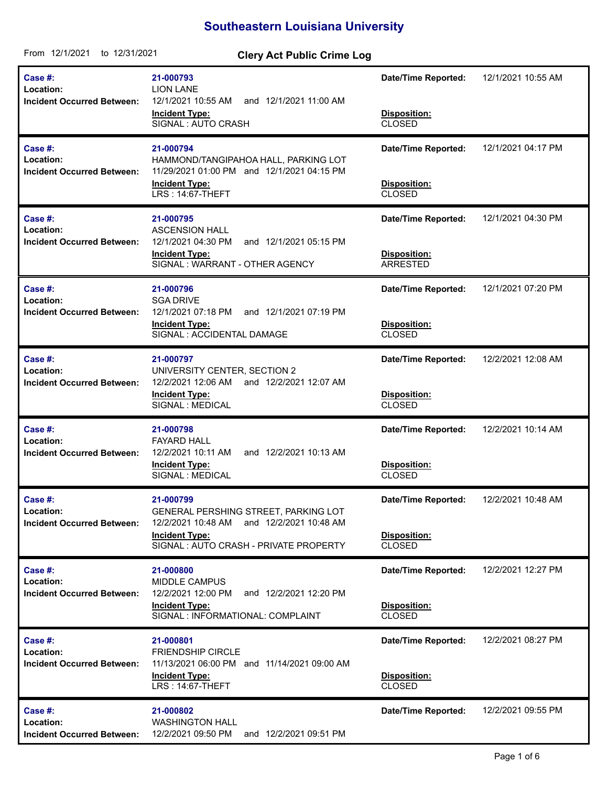## **Southeastern Louisiana University**

| From 12/1/2021<br>to 12/31/2021                                  | <b>Clery Act Public Crime Log</b>                                                                                                                                   |                                                                    |                    |
|------------------------------------------------------------------|---------------------------------------------------------------------------------------------------------------------------------------------------------------------|--------------------------------------------------------------------|--------------------|
| <b>Case #:</b><br>Location:<br><b>Incident Occurred Between:</b> | 21-000793<br><b>LION LANE</b><br>12/1/2021 10:55 AM<br>and 12/1/2021 11:00 AM<br><b>Incident Type:</b><br>SIGNAL: AUTO CRASH                                        | <b>Date/Time Reported:</b><br>Disposition:<br><b>CLOSED</b>        | 12/1/2021 10:55 AM |
| Case #:<br>Location:<br><b>Incident Occurred Between:</b>        | 21-000794<br>HAMMOND/TANGIPAHOA HALL, PARKING LOT<br>11/29/2021 01:00 PM and 12/1/2021 04:15 PM<br><b>Incident Type:</b><br>LRS: 14:67-THEFT                        | <b>Date/Time Reported:</b><br><b>Disposition:</b><br><b>CLOSED</b> | 12/1/2021 04:17 PM |
| Case #:<br>Location:<br><b>Incident Occurred Between:</b>        | 21-000795<br><b>ASCENSION HALL</b><br>12/1/2021 04:30 PM<br>and 12/1/2021 05:15 PM<br><b>Incident Type:</b><br>SIGNAL: WARRANT - OTHER AGENCY                       | <b>Date/Time Reported:</b><br>Disposition:<br><b>ARRESTED</b>      | 12/1/2021 04:30 PM |
| Case #:<br>Location:<br><b>Incident Occurred Between:</b>        | 21-000796<br><b>SGA DRIVE</b><br>12/1/2021 07:18 PM<br>and 12/1/2021 07:19 PM<br><b>Incident Type:</b><br>SIGNAL : ACCIDENTAL DAMAGE                                | <b>Date/Time Reported:</b><br>Disposition:<br><b>CLOSED</b>        | 12/1/2021 07:20 PM |
| Case #:<br>Location:<br><b>Incident Occurred Between:</b>        | 21-000797<br>UNIVERSITY CENTER, SECTION 2<br>12/2/2021 12:06 AM<br>and 12/2/2021 12:07 AM<br><b>Incident Type:</b><br>SIGNAL : MEDICAL                              | <b>Date/Time Reported:</b><br>Disposition:<br><b>CLOSED</b>        | 12/2/2021 12:08 AM |
| Case #:<br>Location:<br><b>Incident Occurred Between:</b>        | 21-000798<br><b>FAYARD HALL</b><br>12/2/2021 10:11 AM<br>and 12/2/2021 10:13 AM<br><b>Incident Type:</b><br>SIGNAL: MEDICAL                                         | <b>Date/Time Reported:</b><br>Disposition:<br><b>CLOSED</b>        | 12/2/2021 10:14 AM |
| <b>Case #:</b><br>Location:<br><b>Incident Occurred Between:</b> | 21-000799<br>GENERAL PERSHING STREET, PARKING LOT<br>and 12/2/2021 10:48 AM<br>12/2/2021 10:48 AM<br><b>Incident Type:</b><br>SIGNAL: AUTO CRASH - PRIVATE PROPERTY | <b>Date/Time Reported:</b><br>Disposition:<br><b>CLOSED</b>        | 12/2/2021 10:48 AM |
| Case #:<br>Location:<br><b>Incident Occurred Between:</b>        | 21-000800<br><b>MIDDLE CAMPUS</b><br>12/2/2021 12:00 PM<br>and 12/2/2021 12:20 PM<br><b>Incident Type:</b><br>SIGNAL : INFORMATIONAL: COMPLAINT                     | <b>Date/Time Reported:</b><br>Disposition:<br><b>CLOSED</b>        | 12/2/2021 12:27 PM |
| Case #:<br>Location:<br><b>Incident Occurred Between:</b>        | 21-000801<br><b>FRIENDSHIP CIRCLE</b><br>11/13/2021 06:00 PM and 11/14/2021 09:00 AM<br><b>Incident Type:</b><br>LRS: 14:67-THEFT                                   | <b>Date/Time Reported:</b><br>Disposition:<br><b>CLOSED</b>        | 12/2/2021 08:27 PM |
| Case #:<br>Location:<br><b>Incident Occurred Between:</b>        | 21-000802<br><b>WASHINGTON HALL</b><br>and 12/2/2021 09:51 PM<br>12/2/2021 09:50 PM                                                                                 | <b>Date/Time Reported:</b>                                         | 12/2/2021 09:55 PM |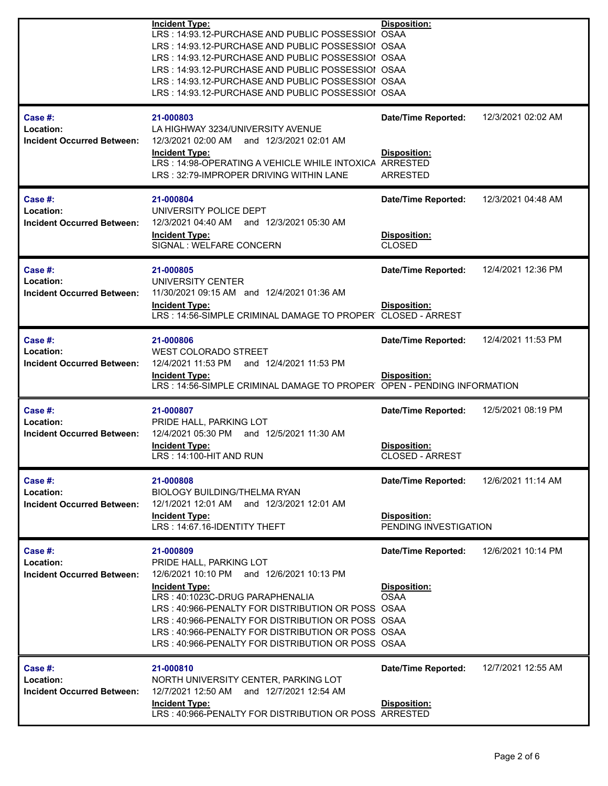|                                                           | <b>Incident Type:</b><br>LRS: 14:93.12-PURCHASE AND PUBLIC POSSESSIOI OSAA<br>LRS: 14:93.12-PURCHASE AND PUBLIC POSSESSIOI OSAA<br>LRS: 14:93.12-PURCHASE AND PUBLIC POSSESSIOI OSAA<br>LRS: 14:93.12-PURCHASE AND PUBLIC POSSESSIOI OSAA<br>LRS: 14:93.12-PURCHASE AND PUBLIC POSSESSIOI OSAA<br>LRS: 14:93.12-PURCHASE AND PUBLIC POSSESSIOI OSAA               | Disposition:                                                                |                    |
|-----------------------------------------------------------|-------------------------------------------------------------------------------------------------------------------------------------------------------------------------------------------------------------------------------------------------------------------------------------------------------------------------------------------------------------------|-----------------------------------------------------------------------------|--------------------|
| Case #:<br>Location:<br><b>Incident Occurred Between:</b> | 21-000803<br>LA HIGHWAY 3234/UNIVERSITY AVENUE<br>12/3/2021 02:00 AM and 12/3/2021 02:01 AM<br><b>Incident Type:</b><br>LRS: 14:98-OPERATING A VEHICLE WHILE INTOXICA<br>LRS: 32:79-IMPROPER DRIVING WITHIN LANE                                                                                                                                                  | <b>Date/Time Reported:</b><br>Disposition:<br>ARRESTED<br>ARRESTED          | 12/3/2021 02:02 AM |
| Case #:<br>Location:<br><b>Incident Occurred Between:</b> | 21-000804<br>UNIVERSITY POLICE DEPT<br>12/3/2021 04:40 AM and 12/3/2021 05:30 AM<br><b>Incident Type:</b><br>SIGNAL : WELFARE CONCERN                                                                                                                                                                                                                             | Date/Time Reported:<br>Disposition:<br><b>CLOSED</b>                        | 12/3/2021 04:48 AM |
| Case #:<br>Location:<br><b>Incident Occurred Between:</b> | 21-000805<br>UNIVERSITY CENTER<br>11/30/2021 09:15 AM and 12/4/2021 01:36 AM<br><b>Incident Type:</b><br>LRS: 14:56-SIMPLE CRIMINAL DAMAGE TO PROPER                                                                                                                                                                                                              | <b>Date/Time Reported:</b><br><b>Disposition:</b><br><b>CLOSED - ARREST</b> | 12/4/2021 12:36 PM |
| Case #:<br>Location:<br><b>Incident Occurred Between:</b> | 21-000806<br><b>WEST COLORADO STREET</b><br>12/4/2021 11:53 PM<br>and 12/4/2021 11:53 PM<br><b>Incident Type:</b><br>LRS: 14:56-SIMPLE CRIMINAL DAMAGE TO PROPER                                                                                                                                                                                                  | <b>Date/Time Reported:</b><br>Disposition:<br>OPEN - PENDING INFORMATION    | 12/4/2021 11:53 PM |
| Case #:<br>Location:<br><b>Incident Occurred Between:</b> | 21-000807<br>PRIDE HALL, PARKING LOT<br>12/4/2021 05:30 PM and 12/5/2021 11:30 AM<br><b>Incident Type:</b><br>LRS: 14:100-HIT AND RUN                                                                                                                                                                                                                             | <b>Date/Time Reported:</b><br><b>Disposition:</b><br>CLOSED - ARREST        | 12/5/2021 08:19 PM |
| Case #:<br>Location:<br><b>Incident Occurred Between:</b> | 21-000808<br><b>BIOLOGY BUILDING/THELMA RYAN</b><br>12/1/2021 12:01 AM and 12/3/2021 12:01 AM<br><b>Incident Type:</b><br>LRS: 14:67.16-IDENTITY THEFT                                                                                                                                                                                                            | <b>Date/Time Reported:</b><br>Disposition:<br>PENDING INVESTIGATION         | 12/6/2021 11:14 AM |
| Case #:<br>Location:<br><b>Incident Occurred Between:</b> | 21-000809<br>PRIDE HALL, PARKING LOT<br>12/6/2021 10:10 PM and 12/6/2021 10:13 PM<br><b>Incident Type:</b><br>LRS: 40:1023C-DRUG PARAPHENALIA<br>LRS: 40:966-PENALTY FOR DISTRIBUTION OR POSS OSAA<br>LRS: 40:966-PENALTY FOR DISTRIBUTION OR POSS OSAA<br>LRS: 40:966-PENALTY FOR DISTRIBUTION OR POSS OSAA<br>LRS: 40:966-PENALTY FOR DISTRIBUTION OR POSS OSAA | <b>Date/Time Reported:</b><br>Disposition:<br><b>OSAA</b>                   | 12/6/2021 10:14 PM |
| Case #:<br>Location:<br><b>Incident Occurred Between:</b> | 21-000810<br>NORTH UNIVERSITY CENTER, PARKING LOT<br>12/7/2021 12:50 AM and 12/7/2021 12:54 AM<br><b>Incident Type:</b><br>LRS: 40:966-PENALTY FOR DISTRIBUTION OR POSS ARRESTED                                                                                                                                                                                  | <b>Date/Time Reported:</b><br><b>Disposition:</b>                           | 12/7/2021 12:55 AM |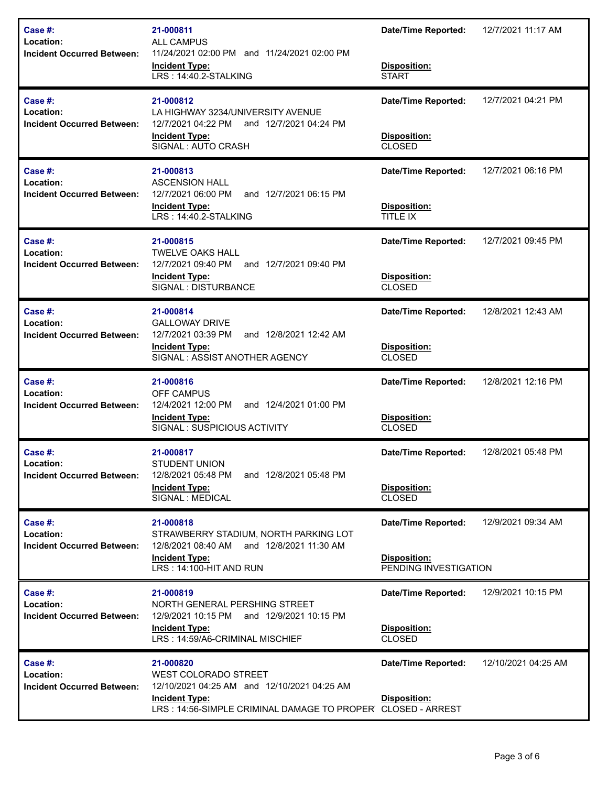| Case #:<br>Location:<br><b>Incident Occurred Between:</b>    | 21-000811<br><b>ALL CAMPUS</b><br>11/24/2021 02:00 PM and 11/24/2021 02:00 PM<br><b>Incident Type:</b><br>LRS: 14:40.2-STALKING                                          | <b>Date/Time Reported:</b><br>Disposition:<br><b>START</b>          | 12/7/2021 11:17 AM  |
|--------------------------------------------------------------|--------------------------------------------------------------------------------------------------------------------------------------------------------------------------|---------------------------------------------------------------------|---------------------|
| Case #:<br>Location:<br><b>Incident Occurred Between:</b>    | 21-000812<br>LA HIGHWAY 3234/UNIVERSITY AVENUE<br>12/7/2021 04:22 PM<br>and 12/7/2021 04:24 PM<br><b>Incident Type:</b><br>SIGNAL: AUTO CRASH                            | <b>Date/Time Reported:</b><br>Disposition:<br><b>CLOSED</b>         | 12/7/2021 04:21 PM  |
| Case #:<br>Location:<br><b>Incident Occurred Between:</b>    | 21-000813<br><b>ASCENSION HALL</b><br>12/7/2021 06:00 PM<br>and 12/7/2021 06:15 PM<br><b>Incident Type:</b><br>LRS: 14:40.2-STALKING                                     | <b>Date/Time Reported:</b><br>Disposition:<br>TITLE IX              | 12/7/2021 06:16 PM  |
| Case #:<br>Location:<br><b>Incident Occurred Between:</b>    | 21-000815<br><b>TWELVE OAKS HALL</b><br>12/7/2021 09:40 PM<br>and 12/7/2021 09:40 PM<br><b>Incident Type:</b><br>SIGNAL : DISTURBANCE                                    | <b>Date/Time Reported:</b><br>Disposition:<br><b>CLOSED</b>         | 12/7/2021 09:45 PM  |
| Case #:<br>Location:<br><b>Incident Occurred Between:</b>    | 21-000814<br><b>GALLOWAY DRIVE</b><br>12/7/2021 03:39 PM<br>and 12/8/2021 12:42 AM<br><b>Incident Type:</b><br>SIGNAL: ASSIST ANOTHER AGENCY                             | <b>Date/Time Reported:</b><br>Disposition:<br><b>CLOSED</b>         | 12/8/2021 12:43 AM  |
| Case #:<br>Location:<br><b>Incident Occurred Between:</b>    | 21-000816<br>OFF CAMPUS<br>12/4/2021 12:00 PM<br>and 12/4/2021 01:00 PM<br><b>Incident Type:</b><br>SIGNAL: SUSPICIOUS ACTIVITY                                          | <b>Date/Time Reported:</b><br>Disposition:<br><b>CLOSED</b>         | 12/8/2021 12:16 PM  |
| Case $#$ :<br>Location:<br><b>Incident Occurred Between:</b> | 21-000817<br><b>STUDENT UNION</b><br>12/8/2021 05:48 PM<br>and 12/8/2021 05:48 PM<br><b>Incident Type:</b><br>SIGNAL : MEDICAL                                           | <b>Date/Time Reported:</b><br>Disposition:<br><b>CLOSED</b>         | 12/8/2021 05:48 PM  |
| Case $#$ :<br>Location:<br><b>Incident Occurred Between:</b> | 21-000818<br>STRAWBERRY STADIUM, NORTH PARKING LOT<br>12/8/2021 08:40 AM and 12/8/2021 11:30 AM<br><b>Incident Type:</b><br>LRS: 14:100-HIT AND RUN                      | <b>Date/Time Reported:</b><br>Disposition:<br>PENDING INVESTIGATION | 12/9/2021 09:34 AM  |
| Case #:<br>Location:<br><b>Incident Occurred Between:</b>    | 21-000819<br>NORTH GENERAL PERSHING STREET<br>12/9/2021 10:15 PM<br>and 12/9/2021 10:15 PM<br><b>Incident Type:</b><br>LRS: 14:59/A6-CRIMINAL MISCHIEF                   | <b>Date/Time Reported:</b><br>Disposition:<br><b>CLOSED</b>         | 12/9/2021 10:15 PM  |
| Case #:<br>Location:<br><b>Incident Occurred Between:</b>    | 21-000820<br>WEST COLORADO STREET<br>12/10/2021 04:25 AM and 12/10/2021 04:25 AM<br><b>Incident Type:</b><br>LRS: 14:56-SIMPLE CRIMINAL DAMAGE TO PROPER CLOSED - ARREST | <b>Date/Time Reported:</b><br><b>Disposition:</b>                   | 12/10/2021 04:25 AM |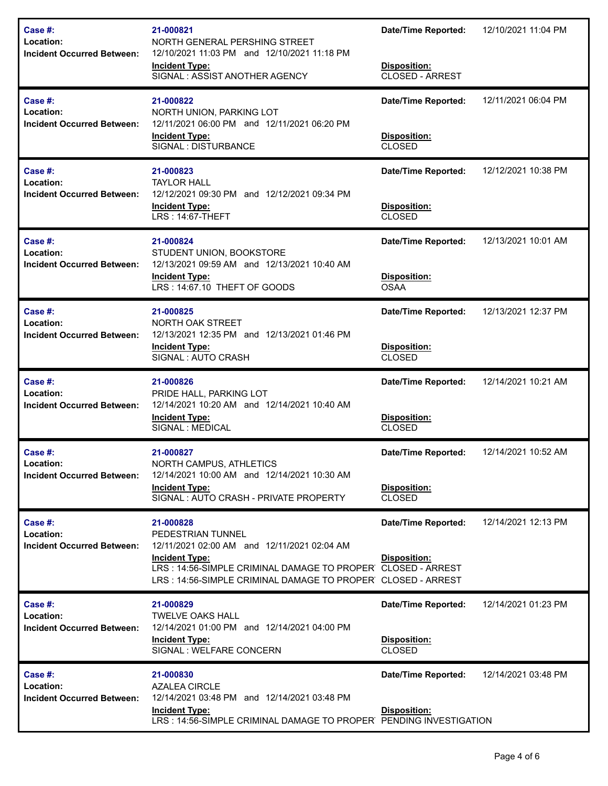| Case #:<br>Location:<br><b>Incident Occurred Between:</b> | 21-000821<br>NORTH GENERAL PERSHING STREET<br>12/10/2021 11:03 PM and 12/10/2021 11:18 PM<br><b>Incident Type:</b><br>SIGNAL: ASSIST ANOTHER AGENCY                                                                                  | <b>Date/Time Reported:</b><br>Disposition:<br><b>CLOSED - ARREST</b> | 12/10/2021 11:04 PM |
|-----------------------------------------------------------|--------------------------------------------------------------------------------------------------------------------------------------------------------------------------------------------------------------------------------------|----------------------------------------------------------------------|---------------------|
| Case #:<br>Location:<br><b>Incident Occurred Between:</b> | 21-000822<br>NORTH UNION, PARKING LOT<br>12/11/2021 06:00 PM and 12/11/2021 06:20 PM<br><b>Incident Type:</b><br>SIGNAL : DISTURBANCE                                                                                                | <b>Date/Time Reported:</b><br>Disposition:<br><b>CLOSED</b>          | 12/11/2021 06:04 PM |
| Case #:<br>Location:<br><b>Incident Occurred Between:</b> | 21-000823<br><b>TAYLOR HALL</b><br>12/12/2021 09:30 PM and 12/12/2021 09:34 PM<br><b>Incident Type:</b><br><b>LRS: 14:67-THEFT</b>                                                                                                   | <b>Date/Time Reported:</b><br>Disposition:<br><b>CLOSED</b>          | 12/12/2021 10:38 PM |
| Case #:<br>Location:<br><b>Incident Occurred Between:</b> | 21-000824<br>STUDENT UNION, BOOKSTORE<br>12/13/2021 09:59 AM and 12/13/2021 10:40 AM<br><b>Incident Type:</b><br>LRS: 14:67.10 THEFT OF GOODS                                                                                        | <b>Date/Time Reported:</b><br>Disposition:<br><b>OSAA</b>            | 12/13/2021 10:01 AM |
| Case #:<br>Location:<br><b>Incident Occurred Between:</b> | 21-000825<br>NORTH OAK STREET<br>12/13/2021 12:35 PM and 12/13/2021 01:46 PM<br><b>Incident Type:</b><br>SIGNAL: AUTO CRASH                                                                                                          | <b>Date/Time Reported:</b><br>Disposition:<br><b>CLOSED</b>          | 12/13/2021 12:37 PM |
| Case #:<br>Location:<br><b>Incident Occurred Between:</b> | 21-000826<br>PRIDE HALL, PARKING LOT<br>12/14/2021 10:20 AM and 12/14/2021 10:40 AM<br><b>Incident Type:</b><br>SIGNAL : MEDICAL                                                                                                     | <b>Date/Time Reported:</b><br>Disposition:<br><b>CLOSED</b>          | 12/14/2021 10:21 AM |
| Case #:<br>Location:<br><b>Incident Occurred Between:</b> | 21-000827<br><b>NORTH CAMPUS, ATHLETICS</b><br>12/14/2021 10:00 AM and 12/14/2021 10:30 AM<br><b>Incident Type:</b><br>SIGNAL: AUTO CRASH - PRIVATE PROPERTY                                                                         | <b>Date/Time Reported:</b><br>Disposition:<br><b>CLOSED</b>          | 12/14/2021 10:52 AM |
| Case #:<br>Location:<br><b>Incident Occurred Between:</b> | 21-000828<br>PEDESTRIAN TUNNEL<br>12/11/2021 02:00 AM and 12/11/2021 02:04 AM<br><b>Incident Type:</b><br>LRS: 14:56-SIMPLE CRIMINAL DAMAGE TO PROPER CLOSED - ARREST<br>LRS: 14:56-SIMPLE CRIMINAL DAMAGE TO PROPER CLOSED - ARREST | <b>Date/Time Reported:</b><br>Disposition:                           | 12/14/2021 12:13 PM |
| Case #:<br>Location:<br><b>Incident Occurred Between:</b> | 21-000829<br><b>TWELVE OAKS HALL</b><br>12/14/2021 01:00 PM and 12/14/2021 04:00 PM<br><b>Incident Type:</b><br>SIGNAL : WELFARE CONCERN                                                                                             | <b>Date/Time Reported:</b><br>Disposition:<br><b>CLOSED</b>          | 12/14/2021 01:23 PM |
| Case #:<br>Location:<br><b>Incident Occurred Between:</b> | 21-000830<br><b>AZALEA CIRCLE</b><br>12/14/2021 03:48 PM and 12/14/2021 03:48 PM<br><b>Incident Type:</b><br>LRS: 14:56-SIMPLE CRIMINAL DAMAGE TO PROPER PENDING INVESTIGATION                                                       | <b>Date/Time Reported:</b><br>Disposition:                           | 12/14/2021 03:48 PM |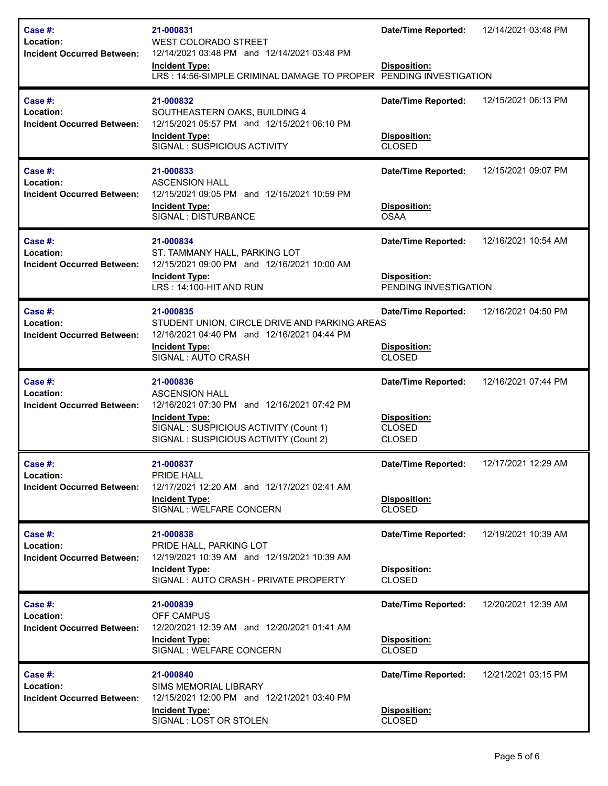| Case #:<br>Location:<br><b>Incident Occurred Between:</b>    | 21-000831<br><b>WEST COLORADO STREET</b><br>12/14/2021 03:48 PM and 12/14/2021 03:48 PM<br><b>Incident Type:</b><br>LRS: 14:56-SIMPLE CRIMINAL DAMAGE TO PROPER PENDING INVESTIGATION         | <b>Date/Time Reported:</b><br>Disposition:                                   | 12/14/2021 03:48 PM |
|--------------------------------------------------------------|-----------------------------------------------------------------------------------------------------------------------------------------------------------------------------------------------|------------------------------------------------------------------------------|---------------------|
| Case $#$ :<br>Location:<br><b>Incident Occurred Between:</b> | 21-000832<br>SOUTHEASTERN OAKS, BUILDING 4<br>12/15/2021 05:57 PM and 12/15/2021 06:10 PM<br><b>Incident Type:</b><br>SIGNAL: SUSPICIOUS ACTIVITY                                             | <b>Date/Time Reported:</b><br>Disposition:<br><b>CLOSED</b>                  | 12/15/2021 06:13 PM |
| Case #:<br>Location:<br><b>Incident Occurred Between:</b>    | 21-000833<br><b>ASCENSION HALL</b><br>12/15/2021 09:05 PM and 12/15/2021 10:59 PM<br><b>Incident Type:</b><br>SIGNAL : DISTURBANCE                                                            | <b>Date/Time Reported:</b><br>Disposition:<br><b>OSAA</b>                    | 12/15/2021 09:07 PM |
| Case #:<br>Location:<br><b>Incident Occurred Between:</b>    | 21-000834<br>ST. TAMMANY HALL, PARKING LOT<br>12/15/2021 09:00 PM and 12/16/2021 10:00 AM<br><b>Incident Type:</b><br>LRS: 14:100-HIT AND RUN                                                 | <b>Date/Time Reported:</b><br>Disposition:<br>PENDING INVESTIGATION          | 12/16/2021 10:54 AM |
| Case #:<br>Location:<br><b>Incident Occurred Between:</b>    | 21-000835<br>STUDENT UNION, CIRCLE DRIVE AND PARKING AREAS<br>12/16/2021 04:40 PM and 12/16/2021 04:44 PM<br><b>Incident Type:</b><br>SIGNAL: AUTO CRASH                                      | <b>Date/Time Reported:</b><br>Disposition:<br><b>CLOSED</b>                  | 12/16/2021 04:50 PM |
| Case $#$ :<br>Location:<br><b>Incident Occurred Between:</b> | 21-000836<br><b>ASCENSION HALL</b><br>12/16/2021 07:30 PM and 12/16/2021 07:42 PM<br><b>Incident Type:</b><br>SIGNAL: SUSPICIOUS ACTIVITY (Count 1)<br>SIGNAL : SUSPICIOUS ACTIVITY (Count 2) | <b>Date/Time Reported:</b><br>Disposition:<br><b>CLOSED</b><br><b>CLOSED</b> | 12/16/2021 07:44 PM |
| Case #:<br>Location:<br><b>Incident Occurred Between:</b>    | 21-000837<br>PRIDE HALL<br>12/17/2021 12:20 AM and 12/17/2021 02:41 AM<br><b>Incident Type:</b><br>SIGNAL : WELFARE CONCERN                                                                   | <b>Date/Time Reported:</b><br>Disposition:<br><b>CLOSED</b>                  | 12/17/2021 12:29 AM |
| Case $#$ :<br>Location:<br><b>Incident Occurred Between:</b> | 21-000838<br>PRIDE HALL, PARKING LOT<br>12/19/2021 10:39 AM and 12/19/2021 10:39 AM<br><b>Incident Type:</b><br>SIGNAL: AUTO CRASH - PRIVATE PROPERTY                                         | <b>Date/Time Reported:</b><br>Disposition:<br><b>CLOSED</b>                  | 12/19/2021 10:39 AM |
| Case #:<br>Location:<br><b>Incident Occurred Between:</b>    | 21-000839<br><b>OFF CAMPUS</b><br>12/20/2021 12:39 AM and 12/20/2021 01:41 AM<br><b>Incident Type:</b><br>SIGNAL : WELFARE CONCERN                                                            | <b>Date/Time Reported:</b><br>Disposition:<br><b>CLOSED</b>                  | 12/20/2021 12:39 AM |
| Case $#$ :<br>Location:<br><b>Incident Occurred Between:</b> | 21-000840<br><b>SIMS MEMORIAL LIBRARY</b><br>12/15/2021 12:00 PM and 12/21/2021 03:40 PM<br><b>Incident Type:</b><br>SIGNAL : LOST OR STOLEN                                                  | <b>Date/Time Reported:</b><br>Disposition:<br><b>CLOSED</b>                  | 12/21/2021 03:15 PM |